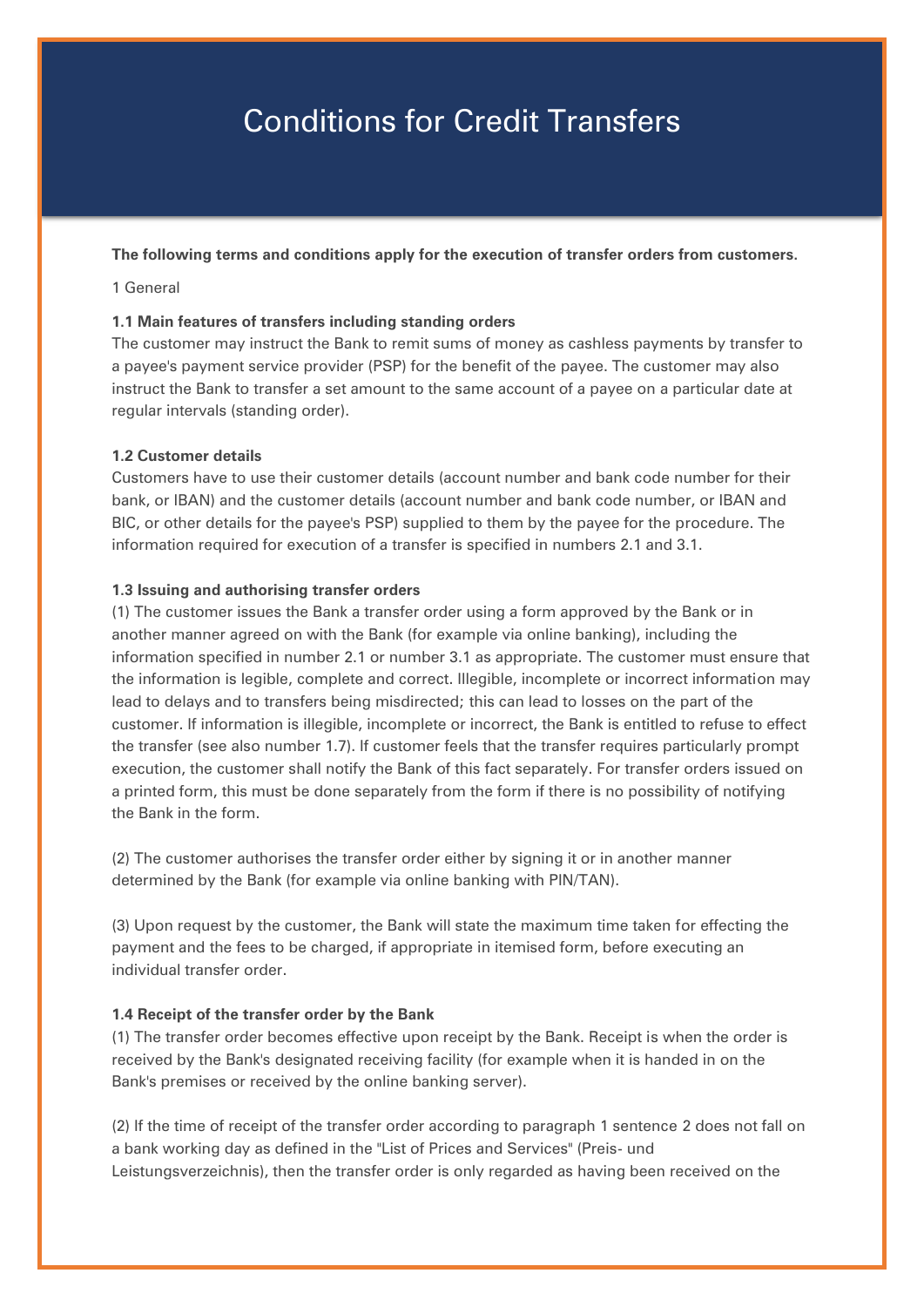# Conditions for Credit Transfers

## **The following terms and conditions apply for the execution of transfer orders from customers.**

### 1 General

## **1.1 Main features of transfers including standing orders**

The customer may instruct the Bank to remit sums of money as cashless payments by transfer to a payee's payment service provider (PSP) for the benefit of the payee. The customer may also instruct the Bank to transfer a set amount to the same account of a payee on a particular date at regular intervals (standing order).

## **1.2 Customer details**

Customers have to use their customer details (account number and bank code number for their bank, or IBAN) and the customer details (account number and bank code number, or IBAN and BIC, or other details for the payee's PSP) supplied to them by the payee for the procedure. The information required for execution of a transfer is specified in numbers 2.1 and 3.1.

### **1.3 Issuing and authorising transfer orders**

(1) The customer issues the Bank a transfer order using a form approved by the Bank or in another manner agreed on with the Bank (for example via online banking), including the information specified in number 2.1 or number 3.1 as appropriate. The customer must ensure that the information is legible, complete and correct. Illegible, incomplete or incorrect information may lead to delays and to transfers being misdirected; this can lead to losses on the part of the customer. If information is illegible, incomplete or incorrect, the Bank is entitled to refuse to effect the transfer (see also number 1.7). If customer feels that the transfer requires particularly prompt execution, the customer shall notify the Bank of this fact separately. For transfer orders issued on a printed form, this must be done separately from the form if there is no possibility of notifying the Bank in the form.

(2) The customer authorises the transfer order either by signing it or in another manner determined by the Bank (for example via online banking with PIN/TAN).

(3) Upon request by the customer, the Bank will state the maximum time taken for effecting the payment and the fees to be charged, if appropriate in itemised form, before executing an individual transfer order.

### **1.4 Receipt of the transfer order by the Bank**

(1) The transfer order becomes effective upon receipt by the Bank. Receipt is when the order is received by the Bank's designated receiving facility (for example when it is handed in on the Bank's premises or received by the online banking server).

(2) If the time of receipt of the transfer order according to paragraph 1 sentence 2 does not fall on a bank working day as defined in the "List of Prices and Services" (Preis- und Leistungsverzeichnis), then the transfer order is only regarded as having been received on the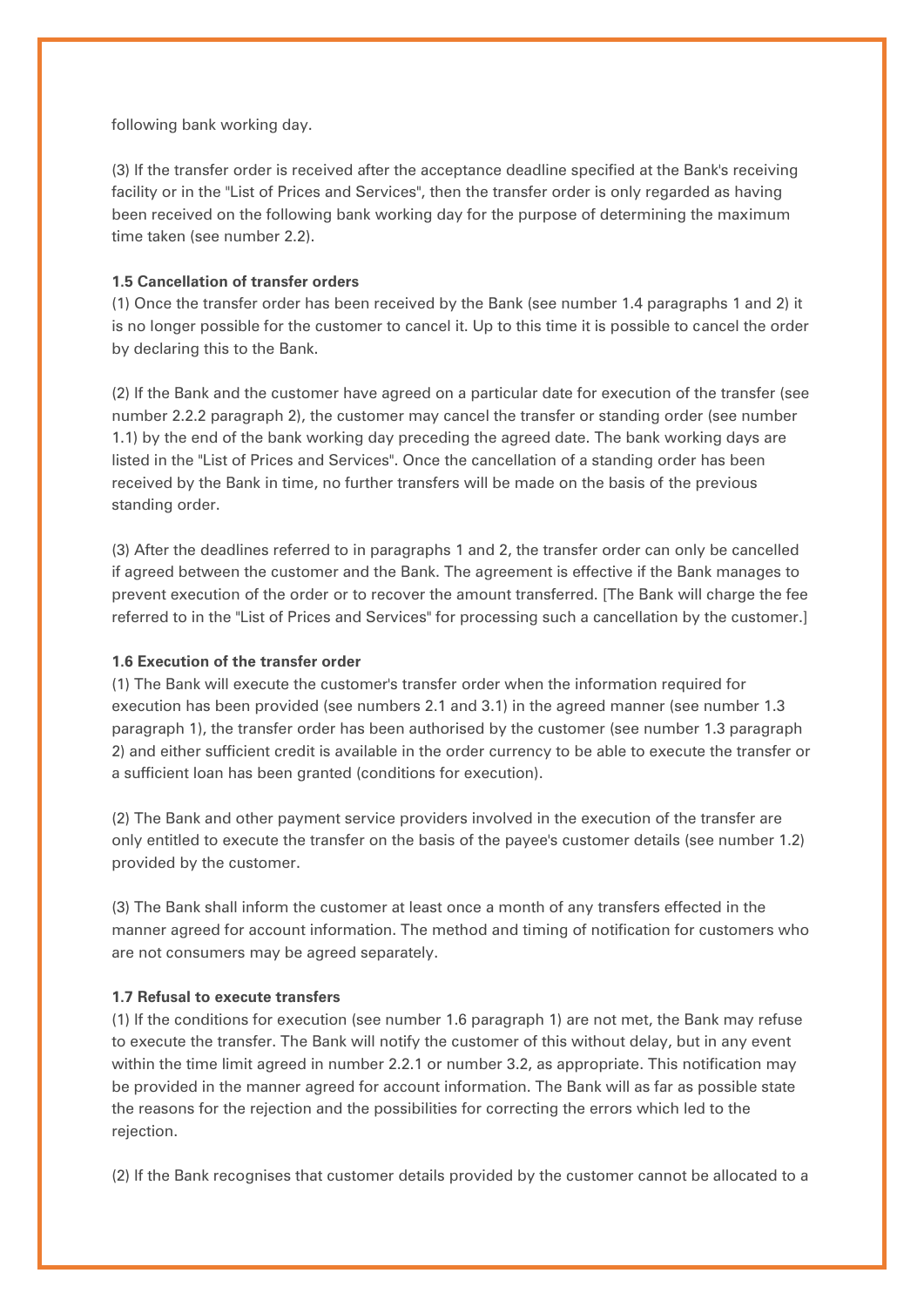following bank working day.

(3) If the transfer order is received after the acceptance deadline specified at the Bank's receiving facility or in the "List of Prices and Services", then the transfer order is only regarded as having been received on the following bank working day for the purpose of determining the maximum time taken (see number 2.2).

## **1.5 Cancellation of transfer orders**

(1) Once the transfer order has been received by the Bank (see number 1.4 paragraphs 1 and 2) it is no longer possible for the customer to cancel it. Up to this time it is possible to cancel the order by declaring this to the Bank.

(2) If the Bank and the customer have agreed on a particular date for execution of the transfer (see number 2.2.2 paragraph 2), the customer may cancel the transfer or standing order (see number 1.1) by the end of the bank working day preceding the agreed date. The bank working days are listed in the "List of Prices and Services". Once the cancellation of a standing order has been received by the Bank in time, no further transfers will be made on the basis of the previous standing order.

(3) After the deadlines referred to in paragraphs 1 and 2, the transfer order can only be cancelled if agreed between the customer and the Bank. The agreement is effective if the Bank manages to prevent execution of the order or to recover the amount transferred. [The Bank will charge the fee referred to in the "List of Prices and Services" for processing such a cancellation by the customer.]

### **1.6 Execution of the transfer order**

(1) The Bank will execute the customer's transfer order when the information required for execution has been provided (see numbers 2.1 and 3.1) in the agreed manner (see number 1.3 paragraph 1), the transfer order has been authorised by the customer (see number 1.3 paragraph 2) and either sufficient credit is available in the order currency to be able to execute the transfer or a sufficient loan has been granted (conditions for execution).

(2) The Bank and other payment service providers involved in the execution of the transfer are only entitled to execute the transfer on the basis of the payee's customer details (see number 1.2) provided by the customer.

(3) The Bank shall inform the customer at least once a month of any transfers effected in the manner agreed for account information. The method and timing of notification for customers who are not consumers may be agreed separately.

### **1.7 Refusal to execute transfers**

(1) If the conditions for execution (see number 1.6 paragraph 1) are not met, the Bank may refuse to execute the transfer. The Bank will notify the customer of this without delay, but in any event within the time limit agreed in number 2.2.1 or number 3.2, as appropriate. This notification may be provided in the manner agreed for account information. The Bank will as far as possible state the reasons for the rejection and the possibilities for correcting the errors which led to the rejection.

(2) If the Bank recognises that customer details provided by the customer cannot be allocated to a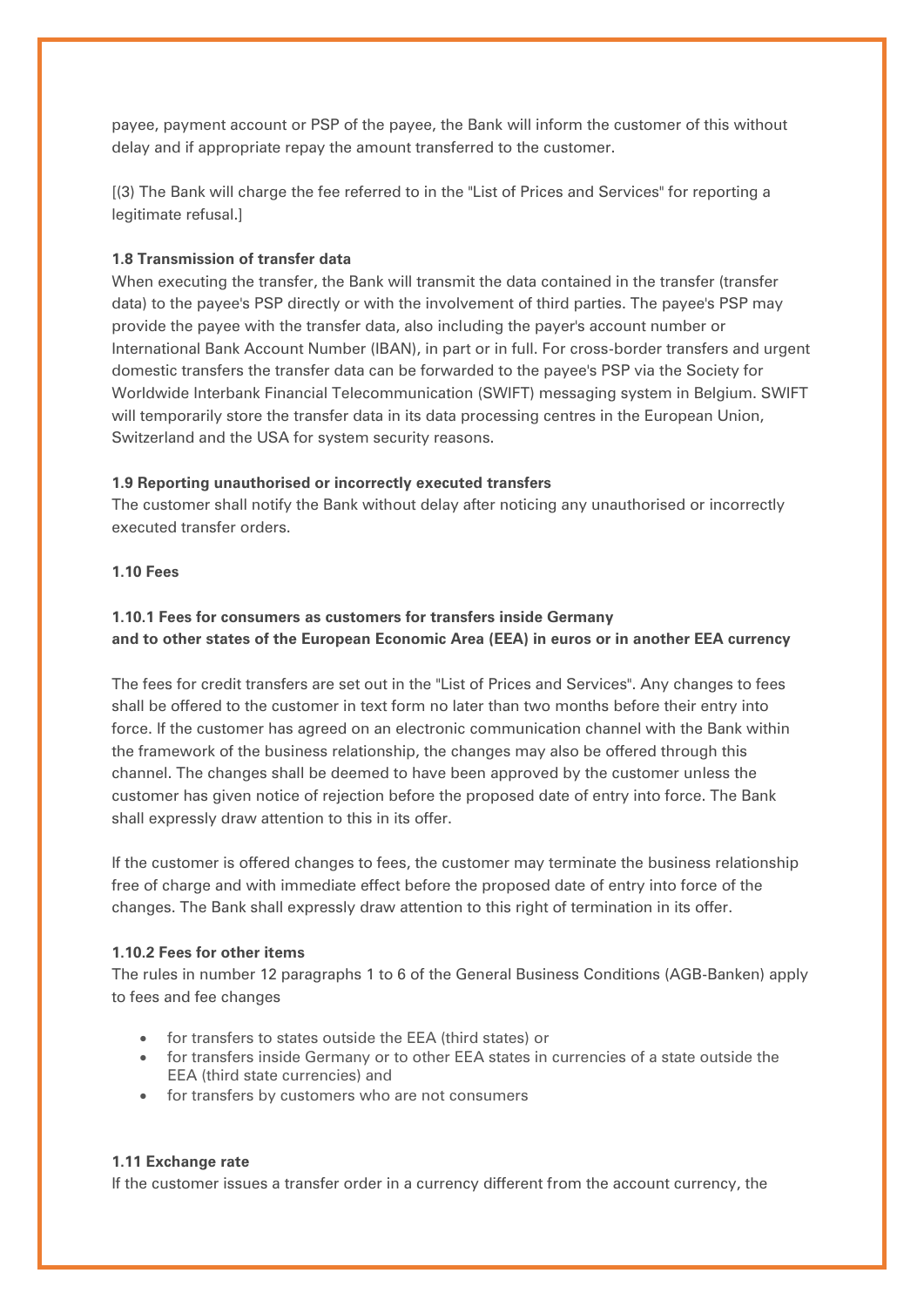payee, payment account or PSP of the payee, the Bank will inform the customer of this without delay and if appropriate repay the amount transferred to the customer.

[(3) The Bank will charge the fee referred to in the "List of Prices and Services" for reporting a legitimate refusal.]

## **1.8 Transmission of transfer data**

When executing the transfer, the Bank will transmit the data contained in the transfer (transfer data) to the payee's PSP directly or with the involvement of third parties. The payee's PSP may provide the payee with the transfer data, also including the payer's account number or International Bank Account Number (IBAN), in part or in full. For cross-border transfers and urgent domestic transfers the transfer data can be forwarded to the payee's PSP via the Society for Worldwide Interbank Financial Telecommunication (SWIFT) messaging system in Belgium. SWIFT will temporarily store the transfer data in its data processing centres in the European Union, Switzerland and the USA for system security reasons.

## **1.9 Reporting unauthorised or incorrectly executed transfers**

The customer shall notify the Bank without delay after noticing any unauthorised or incorrectly executed transfer orders.

## **1.10 Fees**

# **1.10.1 Fees for consumers as customers for transfers inside Germany and to other states of the European Economic Area (EEA) in euros or in another EEA currency**

The fees for credit transfers are set out in the "List of Prices and Services". Any changes to fees shall be offered to the customer in text form no later than two months before their entry into force. If the customer has agreed on an electronic communication channel with the Bank within the framework of the business relationship, the changes may also be offered through this channel. The changes shall be deemed to have been approved by the customer unless the customer has given notice of rejection before the proposed date of entry into force. The Bank shall expressly draw attention to this in its offer.

If the customer is offered changes to fees, the customer may terminate the business relationship free of charge and with immediate effect before the proposed date of entry into force of the changes. The Bank shall expressly draw attention to this right of termination in its offer.

## **1.10.2 Fees for other items**

The rules in number 12 paragraphs 1 to 6 of the General Business Conditions (AGB-Banken) apply to fees and fee changes

- for transfers to states outside the EEA (third states) or
- for transfers inside Germany or to other EEA states in currencies of a state outside the EEA (third state currencies) and
- for transfers by customers who are not consumers

### **1.11 Exchange rate**

If the customer issues a transfer order in a currency different from the account currency, the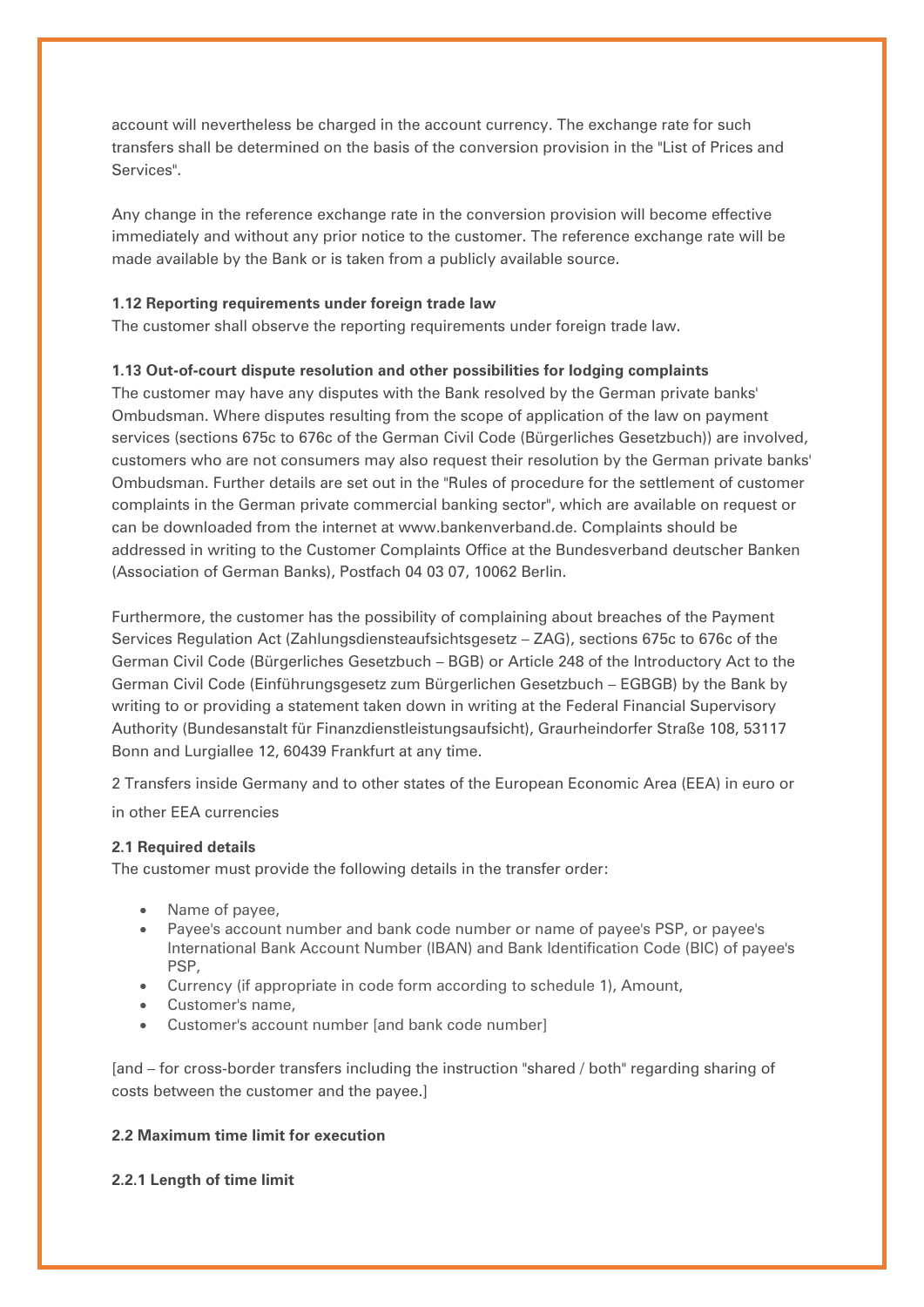account will nevertheless be charged in the account currency. The exchange rate for such transfers shall be determined on the basis of the conversion provision in the "List of Prices and Services".

Any change in the reference exchange rate in the conversion provision will become effective immediately and without any prior notice to the customer. The reference exchange rate will be made available by the Bank or is taken from a publicly available source.

## **1.12 Reporting requirements under foreign trade law**

The customer shall observe the reporting requirements under foreign trade law.

## **1.13 Out-of-court dispute resolution and other possibilities for lodging complaints**

The customer may have any disputes with the Bank resolved by the German private banks' Ombudsman. Where disputes resulting from the scope of application of the law on payment services (sections 675c to 676c of the German Civil Code (Bürgerliches Gesetzbuch)) are involved, customers who are not consumers may also request their resolution by the German private banks' Ombudsman. Further details are set out in the "Rules of procedure for the settlement of customer complaints in the German private commercial banking sector", which are available on request or can be downloaded from the internet at www.bankenverband.de. Complaints should be addressed in writing to the Customer Complaints Office at the Bundesverband deutscher Banken (Association of German Banks), Postfach 04 03 07, 10062 Berlin.

Furthermore, the customer has the possibility of complaining about breaches of the Payment Services Regulation Act (Zahlungsdiensteaufsichtsgesetz – ZAG), sections 675c to 676c of the German Civil Code (Bürgerliches Gesetzbuch – BGB) or Article 248 of the Introductory Act to the German Civil Code (Einführungsgesetz zum Bürgerlichen Gesetzbuch – EGBGB) by the Bank by writing to or providing a statement taken down in writing at the Federal Financial Supervisory Authority (Bundesanstalt für Finanzdienstleistungsaufsicht), Graurheindorfer Straße 108, 53117 Bonn and Lurgiallee 12, 60439 Frankfurt at any time.

2 Transfers inside Germany and to other states of the European Economic Area (EEA) in euro or

in other EEA currencies

## **2.1 Required details**

The customer must provide the following details in the transfer order:

- Name of payee,
- Payee's account number and bank code number or name of payee's PSP, or payee's International Bank Account Number (IBAN) and Bank Identification Code (BIC) of payee's PSP,
- Currency (if appropriate in code form according to schedule 1), Amount,
- Customer's name,
- Customer's account number [and bank code number]

[and – for cross-border transfers including the instruction "shared / both" regarding sharing of costs between the customer and the payee.]

# **2.2 Maximum time limit for execution**

# **2.2.1 Length of time limit**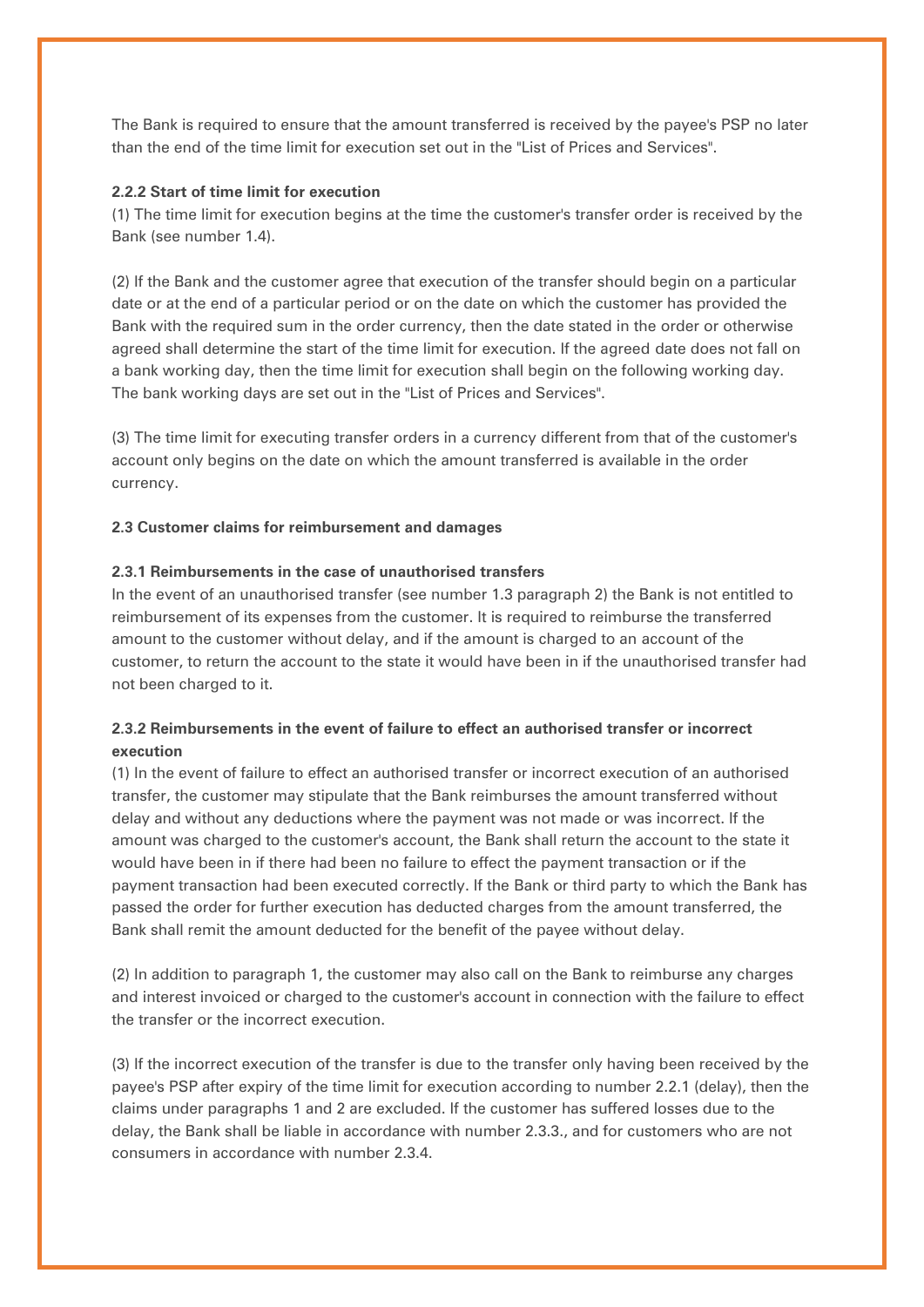The Bank is required to ensure that the amount transferred is received by the payee's PSP no later than the end of the time limit for execution set out in the "List of Prices and Services".

### **2.2.2 Start of time limit for execution**

(1) The time limit for execution begins at the time the customer's transfer order is received by the Bank (see number 1.4).

(2) If the Bank and the customer agree that execution of the transfer should begin on a particular date or at the end of a particular period or on the date on which the customer has provided the Bank with the required sum in the order currency, then the date stated in the order or otherwise agreed shall determine the start of the time limit for execution. If the agreed date does not fall on a bank working day, then the time limit for execution shall begin on the following working day. The bank working days are set out in the "List of Prices and Services".

(3) The time limit for executing transfer orders in a currency different from that of the customer's account only begins on the date on which the amount transferred is available in the order currency.

## **2.3 Customer claims for reimbursement and damages**

## **2.3.1 Reimbursements in the case of unauthorised transfers**

In the event of an unauthorised transfer (see number 1.3 paragraph 2) the Bank is not entitled to reimbursement of its expenses from the customer. It is required to reimburse the transferred amount to the customer without delay, and if the amount is charged to an account of the customer, to return the account to the state it would have been in if the unauthorised transfer had not been charged to it.

# **2.3.2 Reimbursements in the event of failure to effect an authorised transfer or incorrect execution**

(1) In the event of failure to effect an authorised transfer or incorrect execution of an authorised transfer, the customer may stipulate that the Bank reimburses the amount transferred without delay and without any deductions where the payment was not made or was incorrect. If the amount was charged to the customer's account, the Bank shall return the account to the state it would have been in if there had been no failure to effect the payment transaction or if the payment transaction had been executed correctly. If the Bank or third party to which the Bank has passed the order for further execution has deducted charges from the amount transferred, the Bank shall remit the amount deducted for the benefit of the payee without delay.

(2) In addition to paragraph 1, the customer may also call on the Bank to reimburse any charges and interest invoiced or charged to the customer's account in connection with the failure to effect the transfer or the incorrect execution.

(3) If the incorrect execution of the transfer is due to the transfer only having been received by the payee's PSP after expiry of the time limit for execution according to number 2.2.1 (delay), then the claims under paragraphs 1 and 2 are excluded. If the customer has suffered losses due to the delay, the Bank shall be liable in accordance with number 2.3.3., and for customers who are not consumers in accordance with number 2.3.4.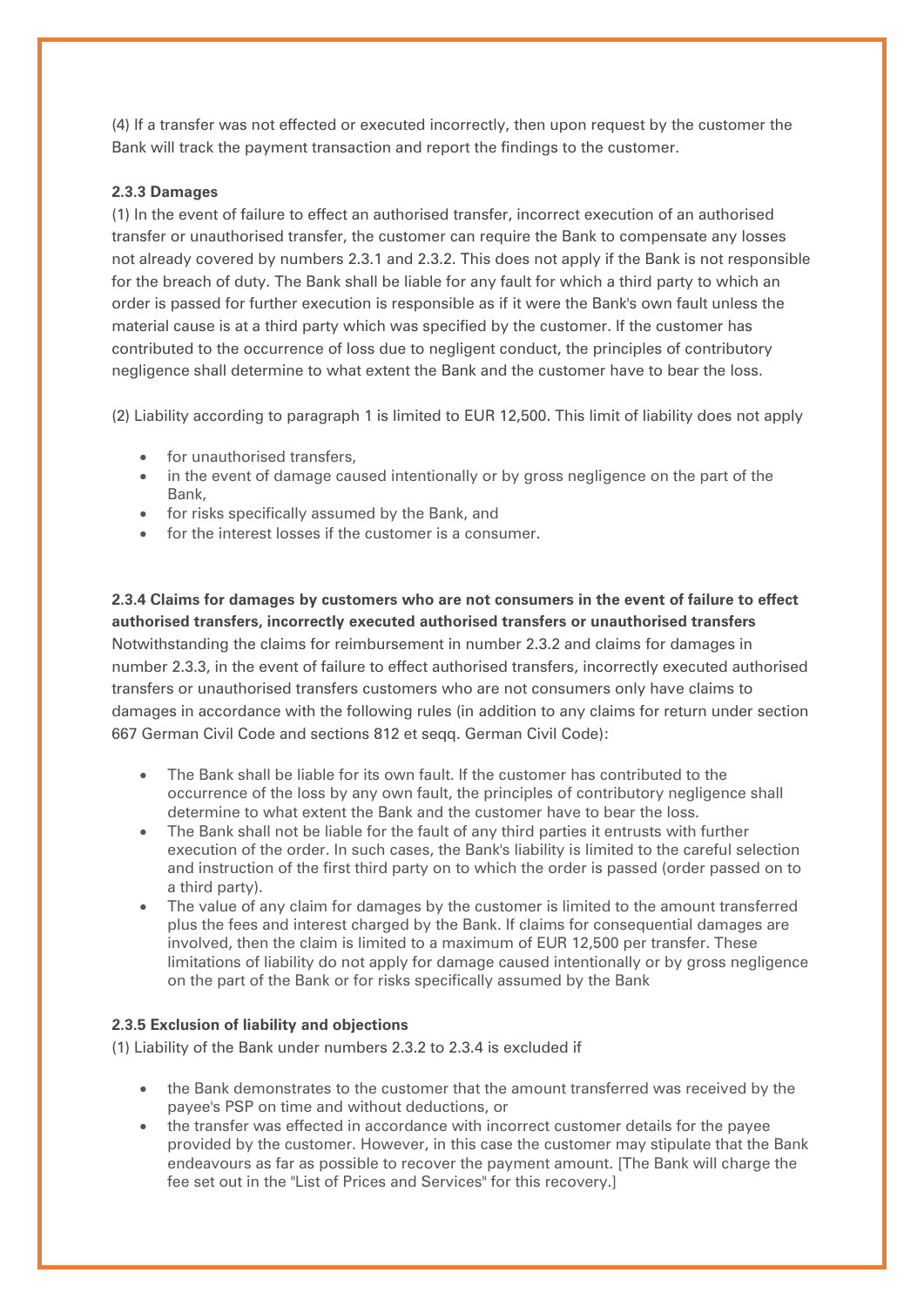(4) If a transfer was not effected or executed incorrectly, then upon request by the customer the Bank will track the payment transaction and report the findings to the customer.

## **2.3.3 Damages**

(1) In the event of failure to effect an authorised transfer, incorrect execution of an authorised transfer or unauthorised transfer, the customer can require the Bank to compensate any losses not already covered by numbers 2.3.1 and 2.3.2. This does not apply if the Bank is not responsible for the breach of duty. The Bank shall be liable for any fault for which a third party to which an order is passed for further execution is responsible as if it were the Bank's own fault unless the material cause is at a third party which was specified by the customer. If the customer has contributed to the occurrence of loss due to negligent conduct, the principles of contributory negligence shall determine to what extent the Bank and the customer have to bear the loss.

(2) Liability according to paragraph 1 is limited to EUR 12,500. This limit of liability does not apply

- for unauthorised transfers,
- in the event of damage caused intentionally or by gross negligence on the part of the Bank,
- for risks specifically assumed by the Bank, and
- for the interest losses if the customer is a consumer.

**2.3.4 Claims for damages by customers who are not consumers in the event of failure to effect authorised transfers, incorrectly executed authorised transfers or unauthorised transfers** Notwithstanding the claims for reimbursement in number 2.3.2 and claims for damages in number 2.3.3, in the event of failure to effect authorised transfers, incorrectly executed authorised transfers or unauthorised transfers customers who are not consumers only have claims to damages in accordance with the following rules (in addition to any claims for return under section 667 German Civil Code and sections 812 et seqq. German Civil Code):

- The Bank shall be liable for its own fault. If the customer has contributed to the occurrence of the loss by any own fault, the principles of contributory negligence shall determine to what extent the Bank and the customer have to bear the loss.
- The Bank shall not be liable for the fault of any third parties it entrusts with further execution of the order. In such cases, the Bank's liability is limited to the careful selection and instruction of the first third party on to which the order is passed (order passed on to a third party).
- The value of any claim for damages by the customer is limited to the amount transferred plus the fees and interest charged by the Bank. If claims for consequential damages are involved, then the claim is limited to a maximum of EUR 12,500 per transfer. These limitations of liability do not apply for damage caused intentionally or by gross negligence on the part of the Bank or for risks specifically assumed by the Bank

### **2.3.5 Exclusion of liability and objections**

(1) Liability of the Bank under numbers 2.3.2 to 2.3.4 is excluded if

- the Bank demonstrates to the customer that the amount transferred was received by the payee's PSP on time and without deductions, or
- the transfer was effected in accordance with incorrect customer details for the payee provided by the customer. However, in this case the customer may stipulate that the Bank endeavours as far as possible to recover the payment amount. [The Bank will charge the fee set out in the "List of Prices and Services" for this recovery.]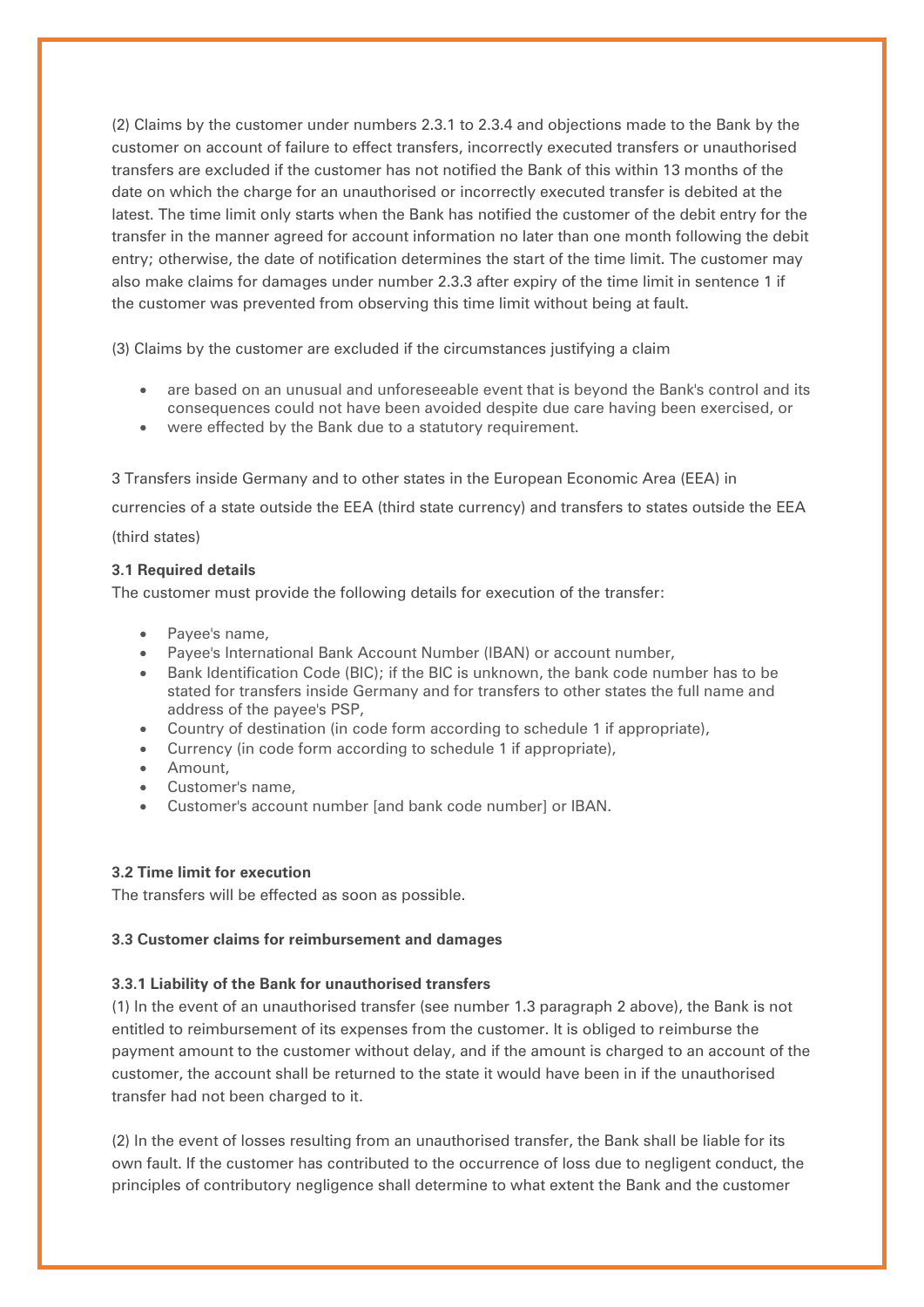(2) Claims by the customer under numbers 2.3.1 to 2.3.4 and objections made to the Bank by the customer on account of failure to effect transfers, incorrectly executed transfers or unauthorised transfers are excluded if the customer has not notified the Bank of this within 13 months of the date on which the charge for an unauthorised or incorrectly executed transfer is debited at the latest. The time limit only starts when the Bank has notified the customer of the debit entry for the transfer in the manner agreed for account information no later than one month following the debit entry; otherwise, the date of notification determines the start of the time limit. The customer may also make claims for damages under number 2.3.3 after expiry of the time limit in sentence 1 if the customer was prevented from observing this time limit without being at fault.

(3) Claims by the customer are excluded if the circumstances justifying a claim

- are based on an unusual and unforeseeable event that is bevond the Bank's control and its consequences could not have been avoided despite due care having been exercised, or
- were effected by the Bank due to a statutory requirement.

3 Transfers inside Germany and to other states in the European Economic Area (EEA) in currencies of a state outside the EEA (third state currency) and transfers to states outside the EEA (third states)

### **3.1 Required details**

The customer must provide the following details for execution of the transfer:

- Payee's name,
- Payee's International Bank Account Number (IBAN) or account number,
- Bank Identification Code (BIC); if the BIC is unknown, the bank code number has to be stated for transfers inside Germany and for transfers to other states the full name and address of the payee's PSP,
- Country of destination (in code form according to schedule 1 if appropriate),
- Currency (in code form according to schedule 1 if appropriate),
- Amount,
- Customer's name,
- Customer's account number [and bank code number] or IBAN.

## **3.2 Time limit for execution**

The transfers will be effected as soon as possible.

### **3.3 Customer claims for reimbursement and damages**

### **3.3.1 Liability of the Bank for unauthorised transfers**

(1) In the event of an unauthorised transfer (see number 1.3 paragraph 2 above), the Bank is not entitled to reimbursement of its expenses from the customer. It is obliged to reimburse the payment amount to the customer without delay, and if the amount is charged to an account of the customer, the account shall be returned to the state it would have been in if the unauthorised transfer had not been charged to it.

(2) In the event of losses resulting from an unauthorised transfer, the Bank shall be liable for its own fault. If the customer has contributed to the occurrence of loss due to negligent conduct, the principles of contributory negligence shall determine to what extent the Bank and the customer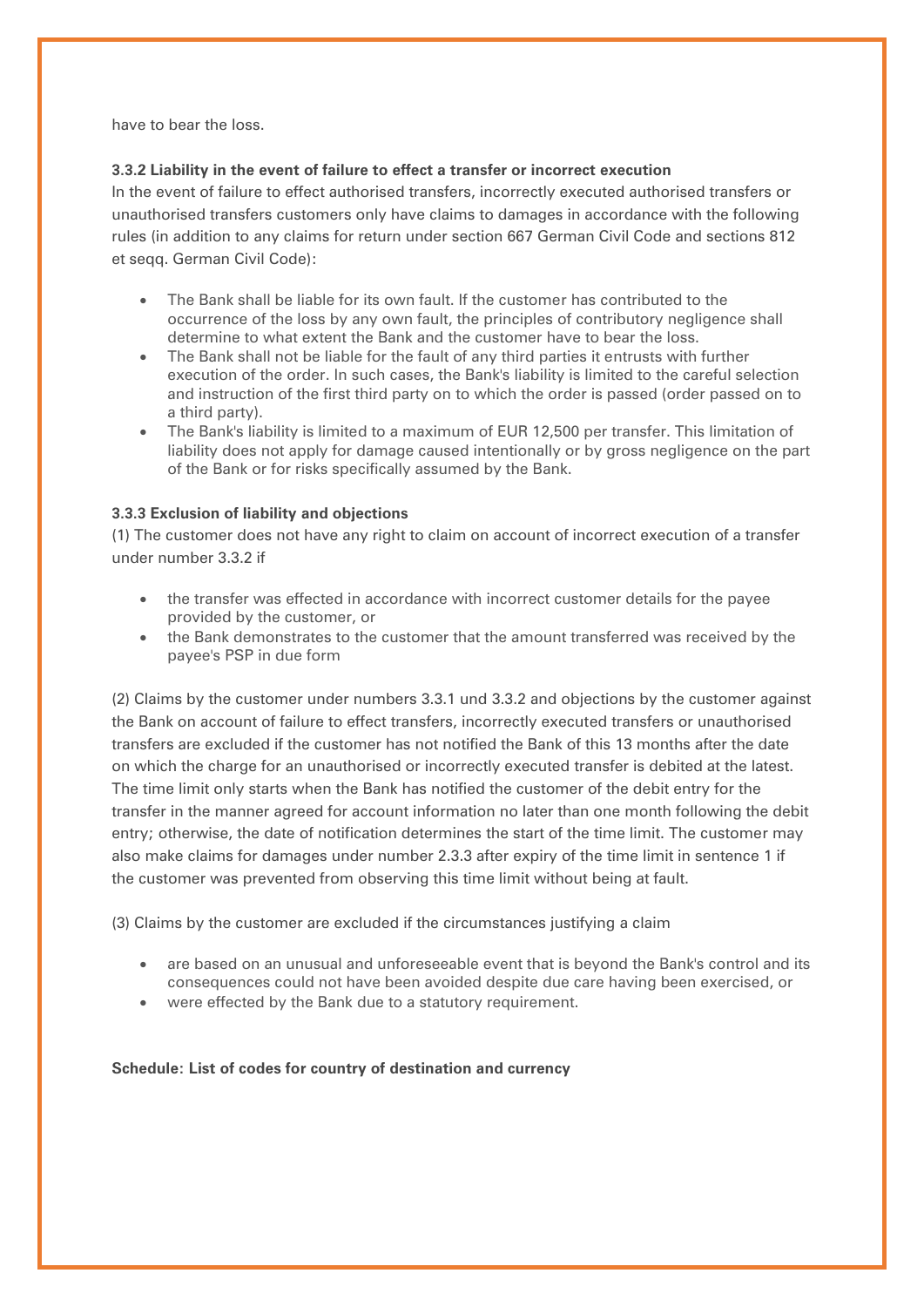have to bear the loss.

## **3.3.2 Liability in the event of failure to effect a transfer or incorrect execution**

In the event of failure to effect authorised transfers, incorrectly executed authorised transfers or unauthorised transfers customers only have claims to damages in accordance with the following rules (in addition to any claims for return under section 667 German Civil Code and sections 812 et seqq. German Civil Code):

- The Bank shall be liable for its own fault. If the customer has contributed to the occurrence of the loss by any own fault, the principles of contributory negligence shall determine to what extent the Bank and the customer have to bear the loss.
- The Bank shall not be liable for the fault of any third parties it entrusts with further execution of the order. In such cases, the Bank's liability is limited to the careful selection and instruction of the first third party on to which the order is passed (order passed on to a third party).
- The Bank's liability is limited to a maximum of EUR 12,500 per transfer. This limitation of liability does not apply for damage caused intentionally or by gross negligence on the part of the Bank or for risks specifically assumed by the Bank.

## **3.3.3 Exclusion of liability and objections**

(1) The customer does not have any right to claim on account of incorrect execution of a transfer under number 3.3.2 if

- the transfer was effected in accordance with incorrect customer details for the payee provided by the customer, or
- the Bank demonstrates to the customer that the amount transferred was received by the payee's PSP in due form

(2) Claims by the customer under numbers 3.3.1 und 3.3.2 and objections by the customer against the Bank on account of failure to effect transfers, incorrectly executed transfers or unauthorised transfers are excluded if the customer has not notified the Bank of this 13 months after the date on which the charge for an unauthorised or incorrectly executed transfer is debited at the latest. The time limit only starts when the Bank has notified the customer of the debit entry for the transfer in the manner agreed for account information no later than one month following the debit entry; otherwise, the date of notification determines the start of the time limit. The customer may also make claims for damages under number 2.3.3 after expiry of the time limit in sentence 1 if the customer was prevented from observing this time limit without being at fault.

(3) Claims by the customer are excluded if the circumstances justifying a claim

- are based on an unusual and unforeseeable event that is beyond the Bank's control and its consequences could not have been avoided despite due care having been exercised, or
- were effected by the Bank due to a statutory requirement.

**Schedule: List of codes for country of destination and currency**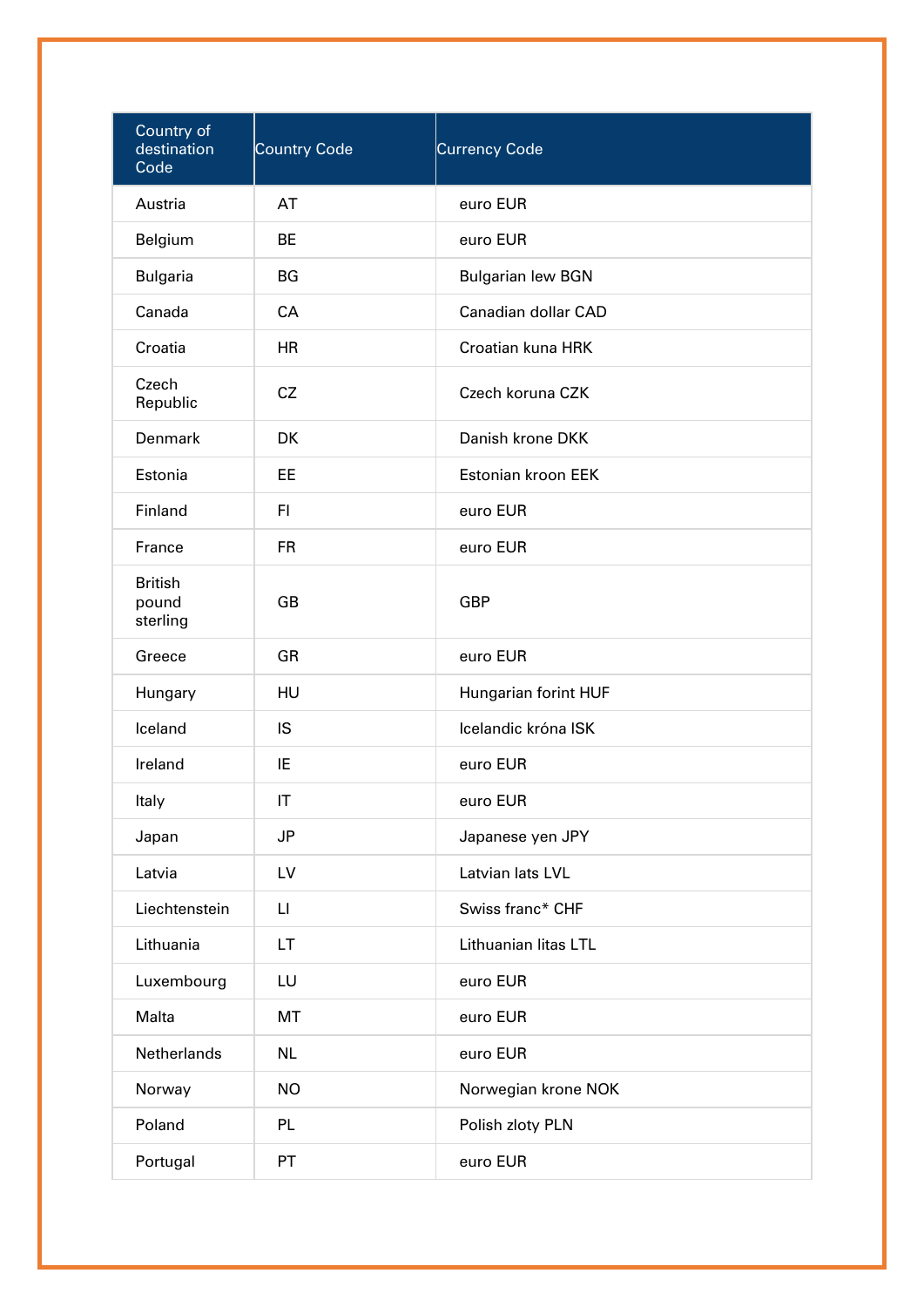| Country of<br>destination<br>Code   | <b>Country Code</b>    | Currency Code            |
|-------------------------------------|------------------------|--------------------------|
| Austria                             | AT                     | euro EUR                 |
| Belgium                             | <b>BE</b>              | euro EUR                 |
| <b>Bulgaria</b>                     | BG                     | <b>Bulgarian lew BGN</b> |
| Canada                              | <b>CA</b>              | Canadian dollar CAD      |
| Croatia                             | <b>HR</b>              | Croatian kuna HRK        |
| Czech<br>Republic                   | CZ                     | Czech koruna CZK         |
| Denmark                             | <b>DK</b>              | Danish krone DKK         |
| Estonia                             | EE                     | Estonian kroon EEK       |
| Finland                             | F1                     | euro EUR                 |
| France                              | <b>FR</b>              | euro EUR                 |
| <b>British</b><br>pound<br>sterling | <b>GB</b>              | <b>GBP</b>               |
| Greece                              | GR                     | euro EUR                 |
| Hungary                             | HU                     | Hungarian forint HUF     |
| Iceland                             | IS                     | Icelandic króna ISK      |
| Ireland                             | IE                     | euro EUR                 |
| Italy                               | IT                     | euro EUR                 |
| Japan                               | <b>JP</b>              | Japanese yen JPY         |
| Latvia                              | LV                     | Latvian lats LVL         |
| Liechtenstein                       | $\mathsf{L}\mathsf{I}$ | Swiss franc* CHF         |
| Lithuania                           | LT.                    | Lithuanian litas LTL     |
| Luxembourg                          | LU                     | euro EUR                 |
| Malta                               | MT                     | euro EUR                 |
| Netherlands                         | <b>NL</b>              | euro EUR                 |
| Norway                              | <b>NO</b>              | Norwegian krone NOK      |
| Poland                              | <b>PL</b>              | Polish zloty PLN         |
| Portugal                            | PT                     | euro EUR                 |